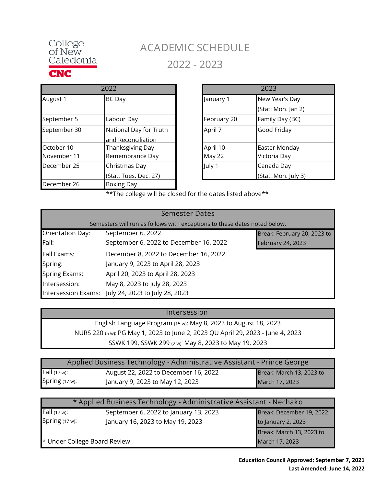

## **ACADEMIC SCHEDULE 2022 - 2023**

|              | 2022                                         |             |
|--------------|----------------------------------------------|-------------|
| August 1     | <b>BC</b> Day                                | January 1   |
| September 5  | Labour Day                                   | February 20 |
| September 30 | National Day for Truth<br>and Reconciliation | April 7     |
| October 10   | Thanksgiving Day                             | April 10    |
| November 11  | Remembrance Day                              | May 22      |
| December 25  | Christmas Day<br>(Stat: Tues. Dec. 27)       | July 1      |
| December 26  | Boxing Day                                   |             |

| 2022                   | 2023        |                     |
|------------------------|-------------|---------------------|
| BC Day                 | January 1   | New Year's Day      |
|                        |             | (Stat: Mon. Jan 2)  |
| Labour Day             | February 20 | Family Day (BC)     |
| National Day for Truth | April 7     | Good Friday         |
| and Reconciliation     |             |                     |
| Thanksgiving Day       | April 10    | Easter Monday       |
| Remembrance Day        | May 22      | Victoria Day        |
| Christmas Day          | July 1      | Canada Day          |
| (Stat: Tues. Dec. 27)  |             | (Stat: Mon. July 3) |

\*\*The college will be closed for the dates listed above\*\*

|                      | <b>Semester Dates</b>                                                     |                             |  |
|----------------------|---------------------------------------------------------------------------|-----------------------------|--|
|                      | Semesters will run as follows with exceptions to these dates noted below. |                             |  |
| Orientation Day:     | September 6, 2022                                                         | Break: February 20, 2023 to |  |
| Fall:                | September 6, 2022 to December 16, 2022                                    | <b>February 24, 2023</b>    |  |
| <b>Fall Exams:</b>   | December 8, 2022 to December 16, 2022                                     |                             |  |
| Spring:              | January 9, 2023 to April 28, 2023                                         |                             |  |
| <b>Spring Exams:</b> | April 20, 2023 to April 28, 2023                                          |                             |  |
| Intersession:        | May 8, 2023 to July 28, 2023                                              |                             |  |
|                      | Intersession Exams: July 24, 2023 to July 28, 2023                        |                             |  |

## **Intersession**

NURS 220 (5 w): PG May 1, 2023 to June 2, 2023 QU April 29, 2023 - June 4, 2023 English Language Program (15 w): May 8, 2023 to August 18, 2023 SSWK 199, SSWK 299 (2 w): May 8, 2023 to May 19, 2023

| Applied Business Technology - Administrative Assistant - Prince George |                                      |                          |
|------------------------------------------------------------------------|--------------------------------------|--------------------------|
| Fall (17 w):                                                           | August 22, 2022 to December 16, 2022 | Break: March 13, 2023 to |
| Spring (17 w):                                                         | January 9, 2023 to May 12, 2023      | March 17, 2023           |

| * Applied Business Technology - Administrative Assistant - Nechako |                                       |                          |
|--------------------------------------------------------------------|---------------------------------------|--------------------------|
| Fall (17 w):                                                       | September 6, 2022 to January 13, 2023 | Break: December 19, 2022 |
| Spring (17 w):                                                     | January 16, 2023 to May 19, 2023      | to January 2, 2023       |
|                                                                    |                                       | Break: March 13, 2023 to |
| * Under College Board Review<br>March 17, 2023                     |                                       |                          |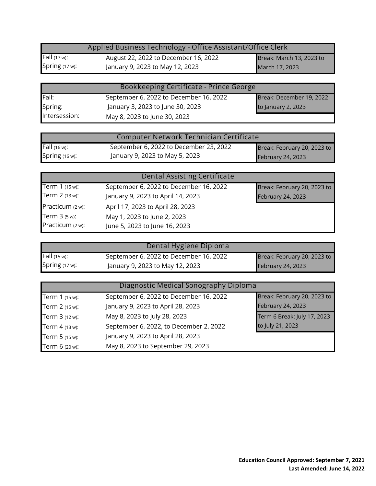|                   | Applied Business Technology - Office Assistant/Office Clerk |                          |  |
|-------------------|-------------------------------------------------------------|--------------------------|--|
| Fall $(17 w)$ :   | August 22, 2022 to December 16, 2022                        | Break: March 13, 2023 to |  |
| Spring $(17 w)$ : | January 9, 2023 to May 12, 2023                             | March 17, 2023           |  |

| Bookkeeping Certificate - Prince George |                                        |                          |
|-----------------------------------------|----------------------------------------|--------------------------|
| Fall:                                   | September 6, 2022 to December 16, 2022 | Break: December 19, 2022 |
| Spring:                                 | January 3, 2023 to June 30, 2023       | to January 2, 2023       |
| Intersession:                           | May 8, 2023 to June 30, 2023           |                          |

| Computer Network Technician Certificate |                                        |                             |
|-----------------------------------------|----------------------------------------|-----------------------------|
| <b>Fall</b> (16 w):                     | September 6, 2022 to December 23, 2022 | Break: February 20, 2023 to |
| Spring $(16 w)$ :                       | January 9, 2023 to May 5, 2023         | <b>February 24, 2023</b>    |

|                  | <b>Dental Assisting Certificate</b>    |                             |
|------------------|----------------------------------------|-----------------------------|
| Term 1 (15 w):   | September 6, 2022 to December 16, 2022 | Break: February 20, 2023 to |
| Term 2 (13 w):   | January 9, 2023 to April 14, 2023      | February 24, 2023           |
| Practicum (2 w): | April 17, 2023 to April 28, 2023       |                             |
| Term 3 (5 w):    | May 1, 2023 to June 2, 2023            |                             |
| Practicum (2 w): | June 5, 2023 to June 16, 2023          |                             |

|                | Dental Hygiene Diploma                 |                             |
|----------------|----------------------------------------|-----------------------------|
| Fall (15 w):   | September 6, 2022 to December 16, 2022 | Break: February 20, 2023 to |
| Spring (17 w): | January 9, 2023 to May 12, 2023        | February 24, 2023           |

| Diagnostic Medical Sonography Diploma |                                        |                             |
|---------------------------------------|----------------------------------------|-----------------------------|
| Term 1 (15 w):                        | September 6, 2022 to December 16, 2022 | Break: February 20, 2023 to |
| Term 2 (15 w):                        | January 9, 2023 to April 28, 2023      | February 24, 2023           |
| Term 3 (12 w):                        | May 8, 2023 to July 28, 2023           | Term 6 Break: July 17, 2023 |
| Term 4 (13 w):                        | September 6, 2022, to December 2, 2022 | to July 21, 2023            |
| Term 5 (15 w):                        | January 9, 2023 to April 28, 2023      |                             |
| Term 6 (20 w):                        | May 8, 2023 to September 29, 2023      |                             |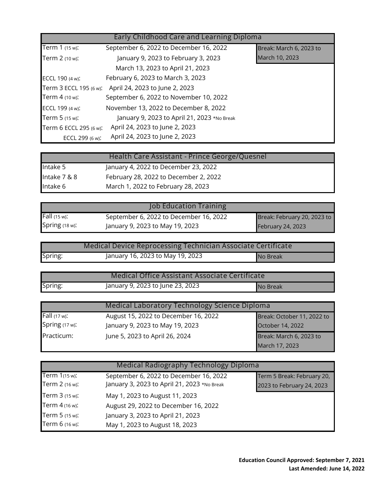| Early Childhood Care and Learning Diploma |                                             |                         |
|-------------------------------------------|---------------------------------------------|-------------------------|
| Term 1 (15 w):                            | September 6, 2022 to December 16, 2022      | Break: March 6, 2023 to |
| Term 2 (10 w):                            | January 9, 2023 to February 3, 2023         | March 10, 2023          |
|                                           | March 13, 2023 to April 21, 2023            |                         |
| ECCL 190 (4 w):                           | February 6, 2023 to March 3, 2023           |                         |
| Term 3 ECCL 195 (6 w):                    | April 24, 2023 to June 2, 2023              |                         |
| Term 4 (10 w):                            | September 6, 2022 to November 10, 2022      |                         |
| ECCL 199 (4 w):                           | November 13, 2022 to December 8, 2022       |                         |
| Term 5 (15 w):                            | January 9, 2023 to April 21, 2023 *No Break |                         |
| Term 6 ECCL 295 (6 w):                    | April 24, 2023 to June 2, 2023              |                         |
| ECCL 299 (6 w):                           | April 24, 2023 to June 2, 2023              |                         |

|              | Health Care Assistant - Prince George/Quesnel |  |
|--------------|-----------------------------------------------|--|
| Intake 5     | January 4, 2022 to December 23, 2022          |  |
| Intake 7 & 8 | February 28, 2022 to December 2, 2022         |  |
| Intake 6     | March 1, 2022 to February 28, 2023            |  |

|                | <b>Job Education Training</b>          |                             |
|----------------|----------------------------------------|-----------------------------|
| Fall (15 w):   | September 6, 2022 to December 16, 2022 | Break: February 20, 2023 to |
| Spring (18 w): | January 9, 2023 to May 19, 2023        | <b>February 24, 2023</b>    |

|         | Medical Device Reprocessing Technician Associate Certificate |          |
|---------|--------------------------------------------------------------|----------|
| Spring: | January 16, 2023 to May 19, 2023                             | No Break |

|         | Medical Office Assistant Associate Certificate |          |
|---------|------------------------------------------------|----------|
| Spring: | January 9, 2023 to June 23, 2023               | No Break |

| Medical Laboratory Technology Science Diploma |                                      |                            |
|-----------------------------------------------|--------------------------------------|----------------------------|
| Fall (17 w):                                  | August 15, 2022 to December 16, 2022 | Break: October 11, 2022 to |
| Spring (17 w):                                | January 9, 2023 to May 19, 2023      | October 14, 2022           |
| Practicum:                                    | June 5, 2023 to April 26, 2024       | Break: March 6, 2023 to    |
|                                               |                                      | March 17, 2023             |

| Medical Radiography Technology Diploma |                                                                                       |                            |
|----------------------------------------|---------------------------------------------------------------------------------------|----------------------------|
| Term 1(15 w):<br>Term 2 (16 w):        | September 6, 2022 to December 16, 2022<br>January 3, 2023 to April 21, 2023 *No Break | Term 5 Break: February 20, |
| Term 3 (15 w):                         | May 1, 2023 to August 11, 2023                                                        | 2023 to February 24, 2023  |
| Term 4 (16 w):                         | August 29, 2022 to December 16, 2022                                                  |                            |
| Term 5 (15 w):                         | January 3, 2023 to April 21, 2023                                                     |                            |
| Term 6 (16 w):                         | May 1, 2023 to August 18, 2023                                                        |                            |